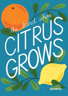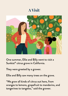#### **A Visit**



One summer, Ellie and Billy went to visit a Sunkist® citrus grove in California.

They were greeted by a grower.

Ellie and Billy saw many trees on the grove.

"We grow all kinds of citrus out here, from oranges to lemons, grapefruit to mandarins, and tangerines to tangelos," said the grower.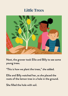#### **Little Trees**



Next, the grower took Ellie and Billy to see some young trees.

"This is how we plant the trees," she added.

Ellie and Billy watched her, as she placed the roots of the lemon tree in a hole in the ground.

She filled the hole with soil.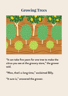#### **Growing Trees**



"It can take five years for one tree to make the citrus you see at the grocery store," the grower said.

"Wow, that's a long time," exclaimed Billy.

"It sure is," answered the grower.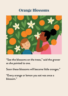## **Orange Blossoms**



"See the blossoms on the trees," said the grower as she pointed to one.

Soon these blossoms will become little oranges."

"Every orange or lemon you eat was once a blossom."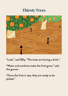#### **Thirsty Trees**



"Look," said Billy. "The trees are having a drink."

"Water and sunshine make the fruit grow," said the grower.

"Once the fruit is ripe, they are ready to be picked."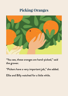## **Picking Oranges**



"You see, these oranges are hand-picked," said the grower.

"Pickers have a very important job," she added.

Ellie and Billy watched for a little while.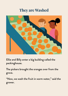## **They are Washed**



Ellie and Billy enter a big building called the packinghouse.

The pickers brought the oranges over from the grove.

"Now, we wash the fruit in warm water," said the grower.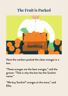## **The Fruit is Packed**



Next the workers packed the clean oranges in a box.

"These oranges are the best oranges," said the grower. "That is why the box has the Sunkist name."

"We buy Sunkist® oranges at the store," said Ellie.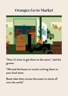#### **Oranges Go to Market**



"Now it's time to get them to the store," said the grower.

"We load the boxes on trucks to bring them to your local store.

Boats take them across the ocean to stores all over the world."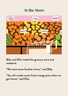## **At the Store**



Billy and Ellie visited the grocery store one weekend.

"We want some Sunkist citrus," said Billy.

"Yes, let's make some fresh orange juice when we get home," said Ellie.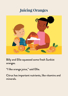# **Juicing Oranges**



Billy and Ellie squeezed some fresh Sunkist oranges.

"I like orange juice," said Ellie.

Citrus has important nutrients, like vitamins and minerals.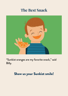#### **The Best Snack**



"Sunkist oranges are my favorite snack," said Billy.

#### Show us your Sunkist smile!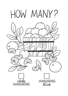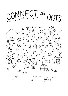CONNECT.the DOTS